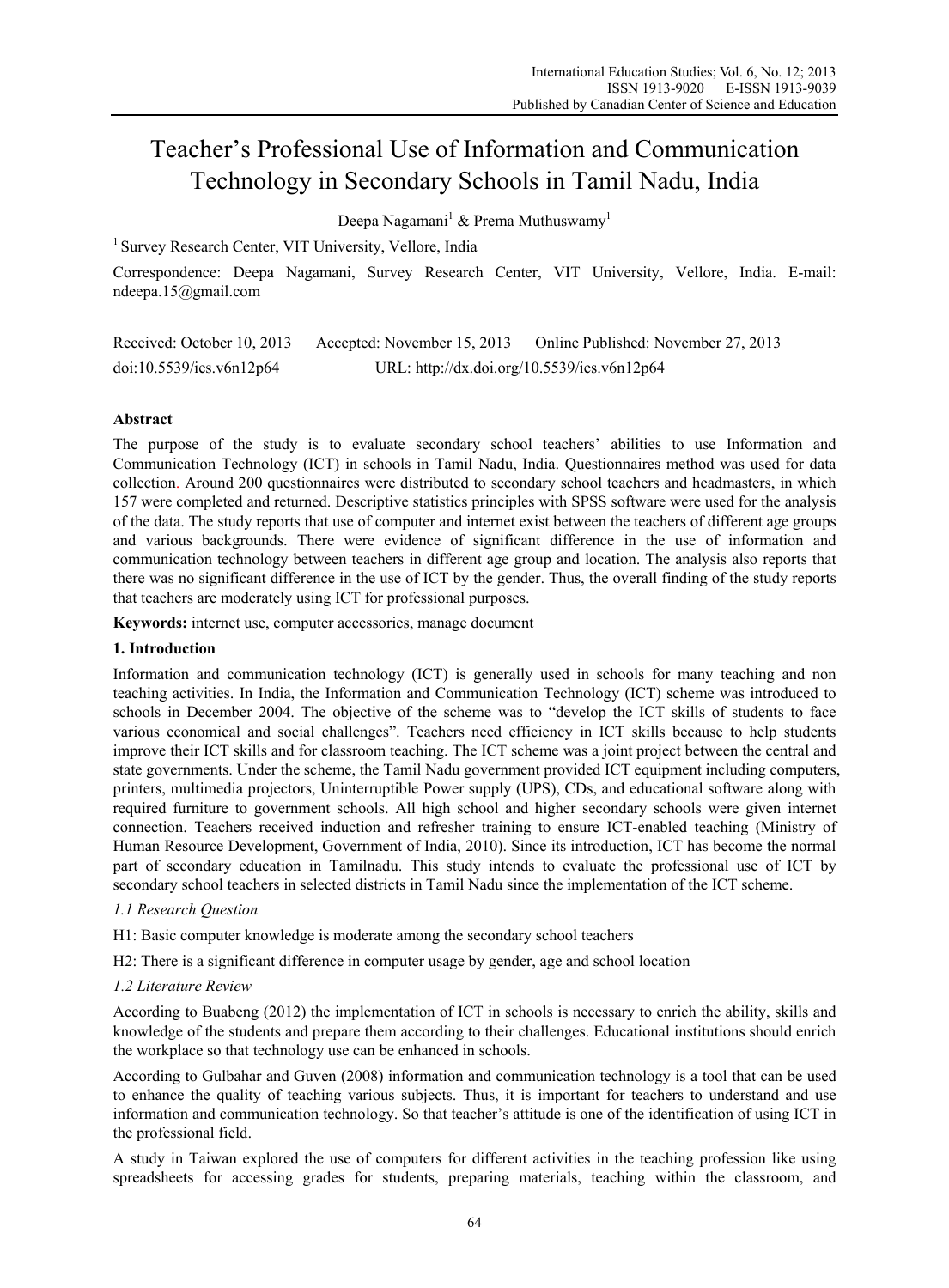# Teacher's Professional Use of Information and Communication Technology in Secondary Schools in Tamil Nadu, India

Deepa Nagamani $^1$  & Prema Muthuswamy $^1$ 

<sup>1</sup> Survey Research Center, VIT University, Vellore, India

Correspondence: Deepa Nagamani, Survey Research Center, VIT University, Vellore, India. E-mail: ndeepa.15@gmail.com

Received: October 10, 2013 Accepted: November 15, 2013 Online Published: November 27, 2013 doi:10.5539/ies.v6n12p64 URL: http://dx.doi.org/10.5539/ies.v6n12p64

# **Abstract**

The purpose of the study is to evaluate secondary school teachers' abilities to use Information and Communication Technology (ICT) in schools in Tamil Nadu, India. Questionnaires method was used for data collection. Around 200 questionnaires were distributed to secondary school teachers and headmasters, in which 157 were completed and returned. Descriptive statistics principles with SPSS software were used for the analysis of the data. The study reports that use of computer and internet exist between the teachers of different age groups and various backgrounds. There were evidence of significant difference in the use of information and communication technology between teachers in different age group and location. The analysis also reports that there was no significant difference in the use of ICT by the gender. Thus, the overall finding of the study reports that teachers are moderately using ICT for professional purposes.

**Keywords:** internet use, computer accessories, manage document

#### **1. Introduction**

Information and communication technology (ICT) is generally used in schools for many teaching and non teaching activities. In India, the Information and Communication Technology (ICT) scheme was introduced to schools in December 2004. The objective of the scheme was to "develop the ICT skills of students to face various economical and social challenges". Teachers need efficiency in ICT skills because to help students improve their ICT skills and for classroom teaching. The ICT scheme was a joint project between the central and state governments. Under the scheme, the Tamil Nadu government provided ICT equipment including computers, printers, multimedia projectors, Uninterruptible Power supply (UPS), CDs, and educational software along with required furniture to government schools. All high school and higher secondary schools were given internet connection. Teachers received induction and refresher training to ensure ICT-enabled teaching (Ministry of Human Resource Development, Government of India, 2010). Since its introduction, ICT has become the normal part of secondary education in Tamilnadu. This study intends to evaluate the professional use of ICT by secondary school teachers in selected districts in Tamil Nadu since the implementation of the ICT scheme.

#### *1.1 Research Question*

- H1: Basic computer knowledge is moderate among the secondary school teachers
- H2: There is a significant difference in computer usage by gender, age and school location

#### *1.2 Literature Review*

According to Buabeng (2012) the implementation of ICT in schools is necessary to enrich the ability, skills and knowledge of the students and prepare them according to their challenges. Educational institutions should enrich the workplace so that technology use can be enhanced in schools.

According to Gulbahar and Guven (2008) information and communication technology is a tool that can be used to enhance the quality of teaching various subjects. Thus, it is important for teachers to understand and use information and communication technology. So that teacher's attitude is one of the identification of using ICT in the professional field.

A study in Taiwan explored the use of computers for different activities in the teaching profession like using spreadsheets for accessing grades for students, preparing materials, teaching within the classroom, and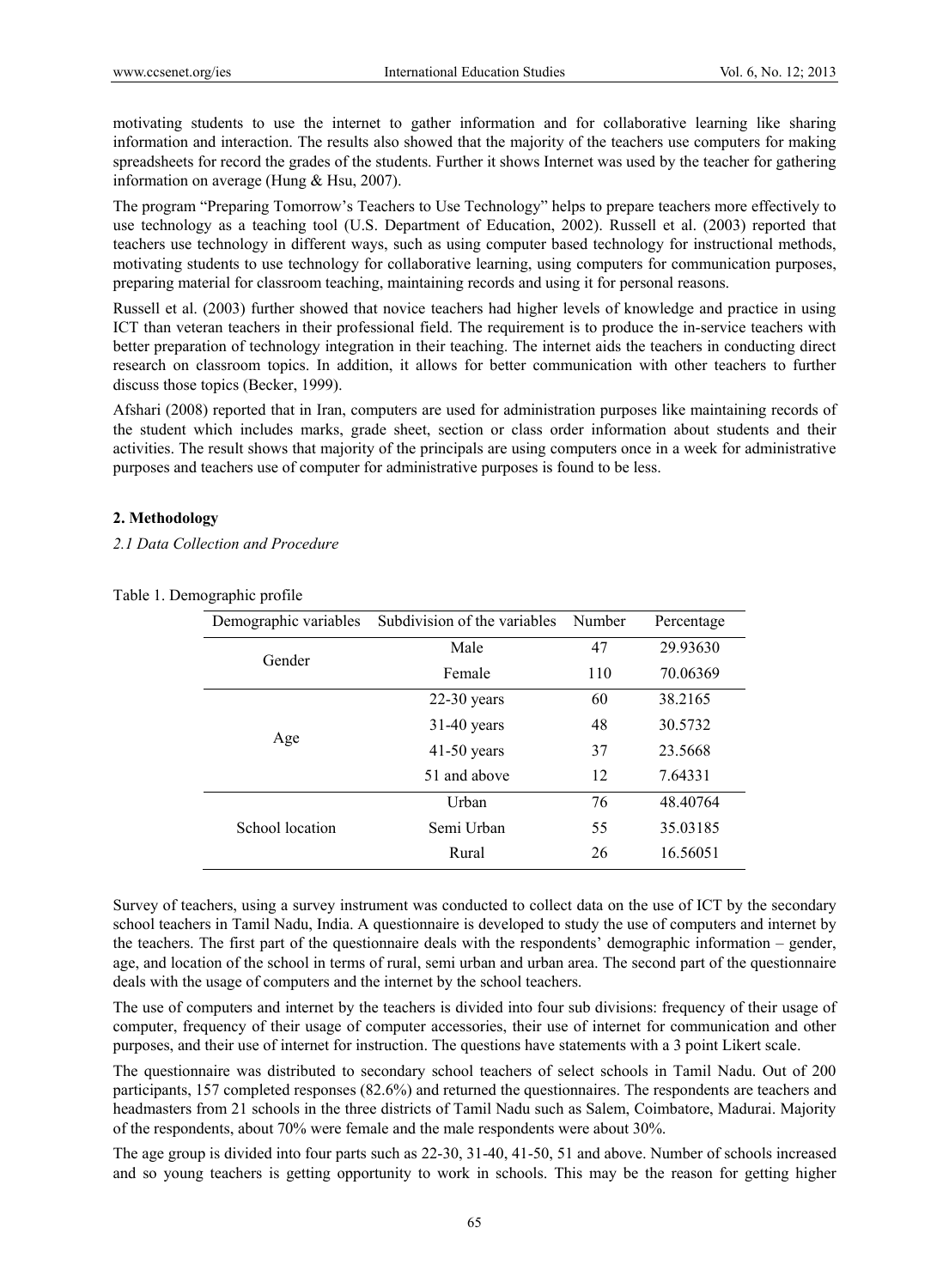motivating students to use the internet to gather information and for collaborative learning like sharing information and interaction. The results also showed that the majority of the teachers use computers for making spreadsheets for record the grades of the students. Further it shows Internet was used by the teacher for gathering information on average (Hung & Hsu, 2007).

The program "Preparing Tomorrow's Teachers to Use Technology" helps to prepare teachers more effectively to use technology as a teaching tool (U.S. Department of Education, 2002). Russell et al. (2003) reported that teachers use technology in different ways, such as using computer based technology for instructional methods, motivating students to use technology for collaborative learning, using computers for communication purposes, preparing material for classroom teaching, maintaining records and using it for personal reasons.

Russell et al. (2003) further showed that novice teachers had higher levels of knowledge and practice in using ICT than veteran teachers in their professional field. The requirement is to produce the in-service teachers with better preparation of technology integration in their teaching. The internet aids the teachers in conducting direct research on classroom topics. In addition, it allows for better communication with other teachers to further discuss those topics (Becker, 1999).

Afshari (2008) reported that in Iran, computers are used for administration purposes like maintaining records of the student which includes marks, grade sheet, section or class order information about students and their activities. The result shows that majority of the principals are using computers once in a week for administrative purposes and teachers use of computer for administrative purposes is found to be less.

#### **2. Methodology**

*2.1 Data Collection and Procedure* 

| Demographic variables | Subdivision of the variables | Number | Percentage |
|-----------------------|------------------------------|--------|------------|
| Gender                | Male                         | 47     | 29.93630   |
|                       | Female                       | 110    | 70.06369   |
| Age                   | $22-30$ years                | 60     | 38.2165    |
|                       | $31-40$ years                | 48     | 30.5732    |
|                       | $41-50$ years                | 37     | 23.5668    |
|                       | 51 and above                 | 12     | 7.64331    |
|                       | Urban                        | 76     | 48.40764   |
| School location       | Semi Urban                   | 55     | 35.03185   |
|                       | Rural                        | 26     | 16.56051   |

Table 1. Demographic profile

Survey of teachers, using a survey instrument was conducted to collect data on the use of ICT by the secondary school teachers in Tamil Nadu, India. A questionnaire is developed to study the use of computers and internet by the teachers. The first part of the questionnaire deals with the respondents' demographic information – gender, age, and location of the school in terms of rural, semi urban and urban area. The second part of the questionnaire deals with the usage of computers and the internet by the school teachers.

The use of computers and internet by the teachers is divided into four sub divisions: frequency of their usage of computer, frequency of their usage of computer accessories, their use of internet for communication and other purposes, and their use of internet for instruction. The questions have statements with a 3 point Likert scale.

The questionnaire was distributed to secondary school teachers of select schools in Tamil Nadu. Out of 200 participants, 157 completed responses (82.6%) and returned the questionnaires. The respondents are teachers and headmasters from 21 schools in the three districts of Tamil Nadu such as Salem, Coimbatore, Madurai. Majority of the respondents, about 70% were female and the male respondents were about 30%.

The age group is divided into four parts such as 22-30, 31-40, 41-50, 51 and above. Number of schools increased and so young teachers is getting opportunity to work in schools. This may be the reason for getting higher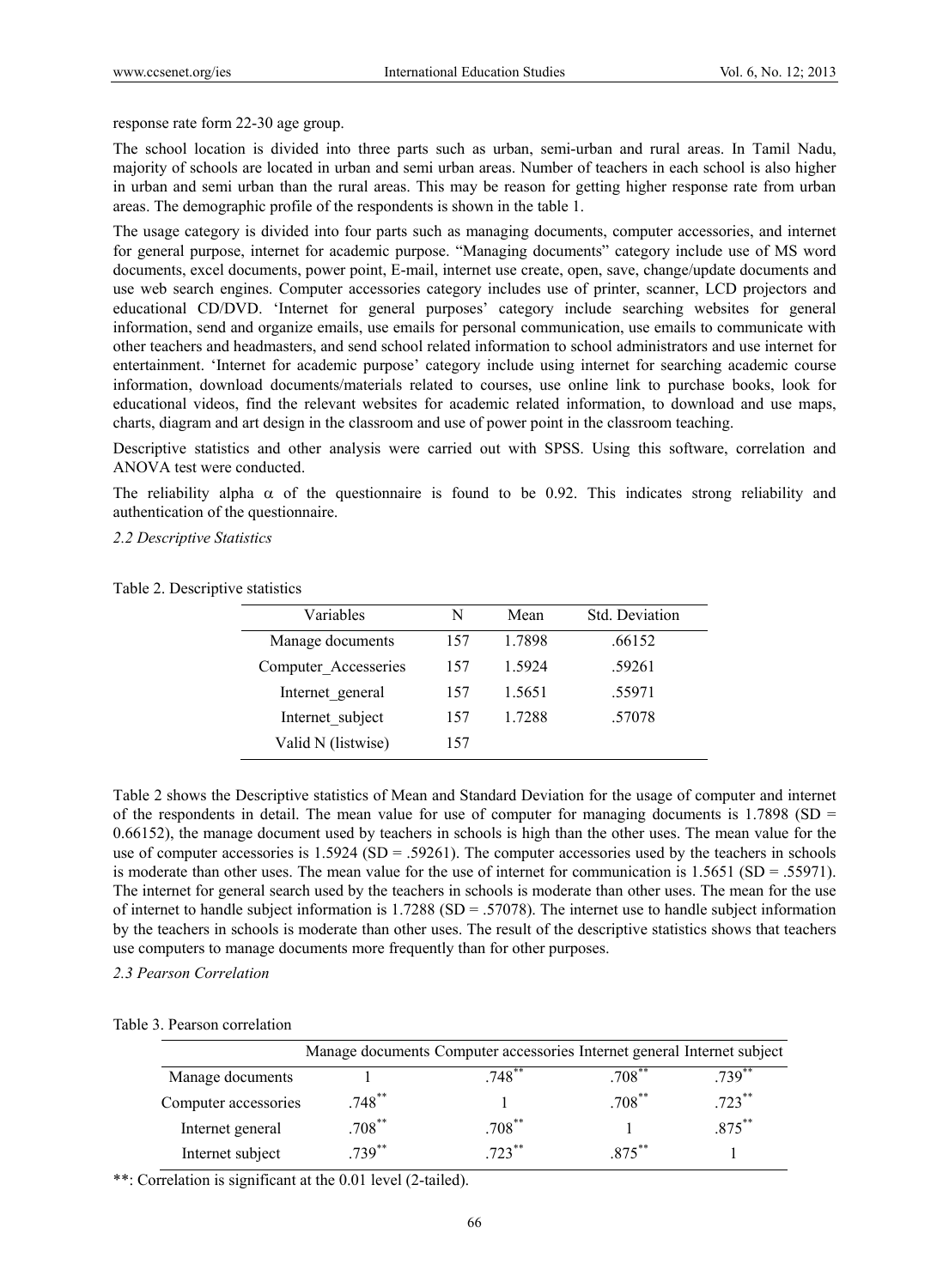response rate form 22-30 age group.

The school location is divided into three parts such as urban, semi-urban and rural areas. In Tamil Nadu, majority of schools are located in urban and semi urban areas. Number of teachers in each school is also higher in urban and semi urban than the rural areas. This may be reason for getting higher response rate from urban areas. The demographic profile of the respondents is shown in the table 1.

The usage category is divided into four parts such as managing documents, computer accessories, and internet for general purpose, internet for academic purpose. "Managing documents" category include use of MS word documents, excel documents, power point, E-mail, internet use create, open, save, change/update documents and use web search engines. Computer accessories category includes use of printer, scanner, LCD projectors and educational CD/DVD. 'Internet for general purposes' category include searching websites for general information, send and organize emails, use emails for personal communication, use emails to communicate with other teachers and headmasters, and send school related information to school administrators and use internet for entertainment. 'Internet for academic purpose' category include using internet for searching academic course information, download documents/materials related to courses, use online link to purchase books, look for educational videos, find the relevant websites for academic related information, to download and use maps, charts, diagram and art design in the classroom and use of power point in the classroom teaching.

Descriptive statistics and other analysis were carried out with SPSS. Using this software, correlation and ANOVA test were conducted.

The reliability alpha  $\alpha$  of the questionnaire is found to be 0.92. This indicates strong reliability and authentication of the questionnaire.

*2.2 Descriptive Statistics* 

| Variables            | N   | Mean   | Std. Deviation |
|----------------------|-----|--------|----------------|
| Manage documents     | 157 | 1.7898 | .66152         |
| Computer Accesseries | 157 | 1.5924 | .59261         |
| Internet general     | 157 | 1.5651 | .55971         |
| Internet subject     | 157 | 1 7288 | .57078         |
| Valid N (listwise)   | 157 |        |                |

Table 2. Descriptive statistics

Table 2 shows the Descriptive statistics of Mean and Standard Deviation for the usage of computer and internet of the respondents in detail. The mean value for use of computer for managing documents is  $1.7898$  (SD = 0.66152), the manage document used by teachers in schools is high than the other uses. The mean value for the use of computer accessories is 1.5924 (SD = .59261). The computer accessories used by the teachers in schools is moderate than other uses. The mean value for the use of internet for communication is 1.5651 (SD = .55971). The internet for general search used by the teachers in schools is moderate than other uses. The mean for the use of internet to handle subject information is  $1.7288$  (SD = .57078). The internet use to handle subject information by the teachers in schools is moderate than other uses. The result of the descriptive statistics shows that teachers use computers to manage documents more frequently than for other purposes.

*2.3 Pearson Correlation* 

|                      | Manage documents Computer accessories Internet general Internet subject |             |           |            |
|----------------------|-------------------------------------------------------------------------|-------------|-----------|------------|
| Manage documents     |                                                                         | $.748$ **   | $.708$ ** | $739^{**}$ |
| Computer accessories | $.748$ <sup>**</sup>                                                    |             | $.708***$ | $.723***$  |
| Internet general     | $.708***$                                                               | $.708^{**}$ |           | $.875***$  |
| Internet subject     | $739^{**}$                                                              | $723***$    | 875**     |            |

Table 3. Pearson correlation

\*\*: Correlation is significant at the 0.01 level (2-tailed).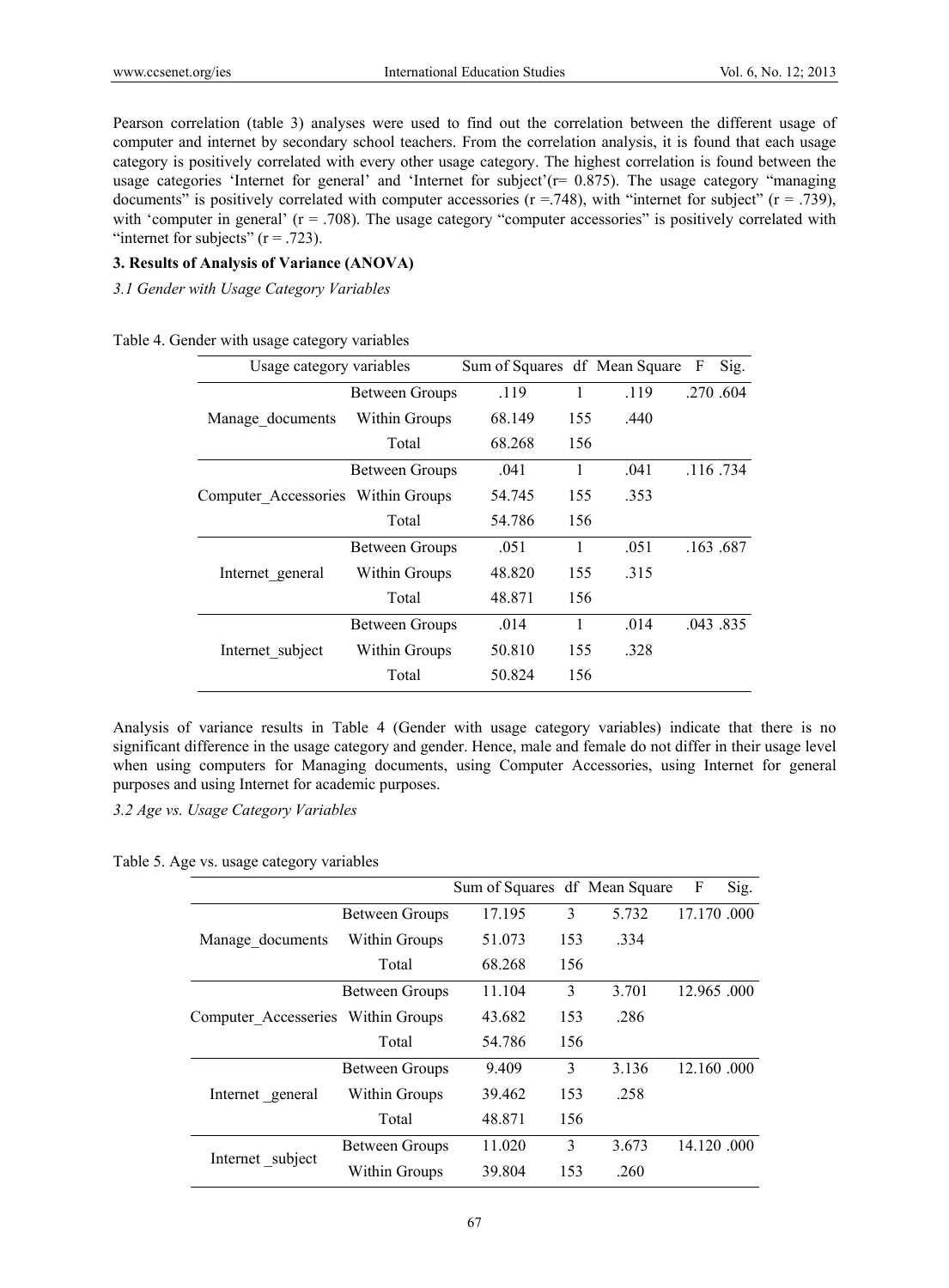Pearson correlation (table 3) analyses were used to find out the correlation between the different usage of computer and internet by secondary school teachers. From the correlation analysis, it is found that each usage category is positively correlated with every other usage category. The highest correlation is found between the usage categories 'Internet for general' and 'Internet for subject'( $r = 0.875$ ). The usage category "managing documents" is positively correlated with computer accessories ( $r = .748$ ), with "internet for subject" ( $r = .739$ ), with 'computer in general' (r = .708). The usage category "computer accessories" is positively correlated with "internet for subjects"  $(r = .723)$ .

# **3. Results of Analysis of Variance (ANOVA)**

*3.1 Gender with Usage Category Variables* 

| Table 4. Gender with usage category variables |  |  |  |  |  |  |
|-----------------------------------------------|--|--|--|--|--|--|
|-----------------------------------------------|--|--|--|--|--|--|

| Usage category variables           |                       | Sum of Squares df Mean Square |     |      | F | Sig.        |
|------------------------------------|-----------------------|-------------------------------|-----|------|---|-------------|
|                                    | Between Groups        | .119                          | 1   | .119 |   | .270.604    |
| Manage documents                   | Within Groups         | 68.149                        | 155 | .440 |   |             |
|                                    | Total                 | 68.268                        | 156 |      |   |             |
| Computer Accessories Within Groups | <b>Between Groups</b> | .041                          | 1   | .041 |   | $.116$ .734 |
|                                    |                       | 54.745                        | 155 | .353 |   |             |
|                                    | Total                 | 54.786                        | 156 |      |   |             |
|                                    | Between Groups        | .051                          | 1   | .051 |   | .163.687    |
| Internet general                   | Within Groups         | 48.820                        | 155 | .315 |   |             |
|                                    | Total                 | 48.871                        | 156 |      |   |             |
| Internet subject                   | Between Groups        | .014                          | 1   | .014 |   | .043.835    |
|                                    | Within Groups         | 50.810                        | 155 | .328 |   |             |
|                                    | Total                 | 50.824                        | 156 |      |   |             |

Analysis of variance results in Table 4 (Gender with usage category variables) indicate that there is no significant difference in the usage category and gender. Hence, male and female do not differ in their usage level when using computers for Managing documents, using Computer Accessories, using Internet for general purposes and using Internet for academic purposes.

*3.2 Age vs. Usage Category Variables* 

Table 5. Age vs. usage category variables

|                                    |                       | Sum of Squares df Mean Square |     |       | F           | Sig. |
|------------------------------------|-----------------------|-------------------------------|-----|-------|-------------|------|
|                                    | Between Groups        | 17.195                        | 3   | 5.732 | 17.170.000  |      |
| Manage documents                   | Within Groups         | 51.073                        | 153 | .334  |             |      |
|                                    | Total                 | 68.268                        | 156 |       |             |      |
| Computer Accesseries Within Groups | <b>Between Groups</b> | 11.104                        | 3   | 3.701 | 12.965 .000 |      |
|                                    |                       | 43.682                        | 153 | .286  |             |      |
|                                    | Total                 | 54.786                        | 156 |       |             |      |
|                                    | <b>Between Groups</b> | 9.409                         | 3   | 3.136 | 12.160.000  |      |
| Internet general                   | Within Groups         | 39.462                        | 153 | .258  |             |      |
|                                    | Total                 | 48.871                        | 156 |       |             |      |
|                                    | <b>Between Groups</b> | 11.020                        | 3   | 3.673 | 14.120.000  |      |
| Internet subject                   | Within Groups         | 39.804                        | 153 | .260  |             |      |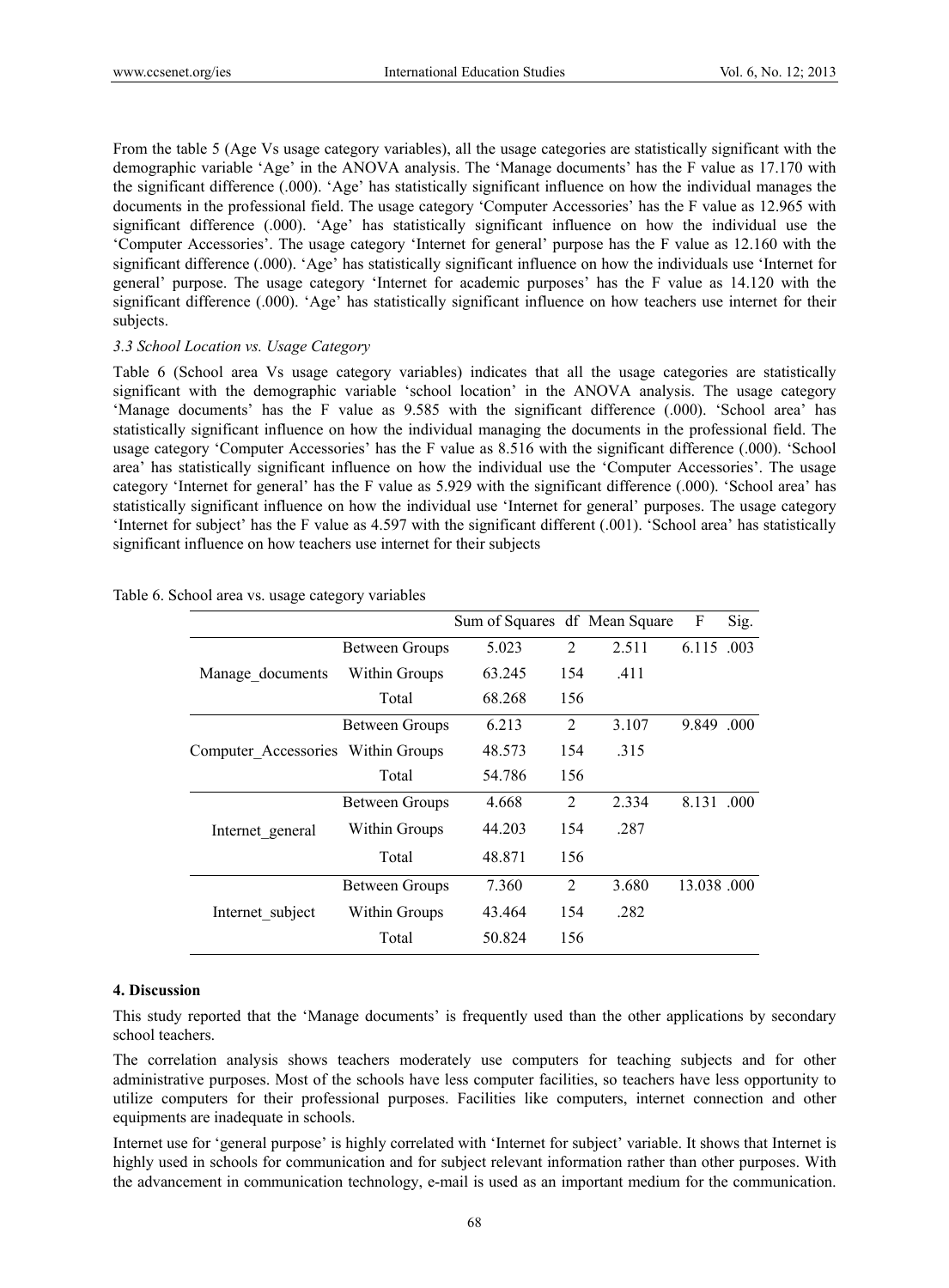From the table 5 (Age Vs usage category variables), all the usage categories are statistically significant with the demographic variable 'Age' in the ANOVA analysis. The 'Manage documents' has the F value as 17.170 with the significant difference (.000). 'Age' has statistically significant influence on how the individual manages the documents in the professional field. The usage category 'Computer Accessories' has the F value as 12.965 with significant difference (.000). 'Age' has statistically significant influence on how the individual use the 'Computer Accessories'. The usage category 'Internet for general' purpose has the F value as 12.160 with the significant difference (.000). 'Age' has statistically significant influence on how the individuals use 'Internet for general' purpose. The usage category 'Internet for academic purposes' has the F value as 14.120 with the significant difference (.000). 'Age' has statistically significant influence on how teachers use internet for their subjects.

#### *3.3 School Location vs. Usage Category*

Table 6 (School area Vs usage category variables) indicates that all the usage categories are statistically significant with the demographic variable 'school location' in the ANOVA analysis. The usage category 'Manage documents' has the F value as 9.585 with the significant difference (.000). 'School area' has statistically significant influence on how the individual managing the documents in the professional field. The usage category 'Computer Accessories' has the F value as 8.516 with the significant difference (.000). 'School area' has statistically significant influence on how the individual use the 'Computer Accessories'. The usage category 'Internet for general' has the F value as 5.929 with the significant difference (.000). 'School area' has statistically significant influence on how the individual use 'Internet for general' purposes. The usage category 'Internet for subject' has the F value as 4.597 with the significant different (.001). 'School area' has statistically significant influence on how teachers use internet for their subjects

|                                    |                       | Sum of Squares df Mean Square |                |       | F          | Sig. |
|------------------------------------|-----------------------|-------------------------------|----------------|-------|------------|------|
|                                    | <b>Between Groups</b> | 5.023                         | 2              | 2.511 | 6.115 .003 |      |
| Manage_documents                   | Within Groups         | 63.245                        | 154            | .411  |            |      |
|                                    | Total                 | 68.268                        | 156            |       |            |      |
|                                    | <b>Between Groups</b> | 6.213                         | 2              | 3.107 | 9.849 000  |      |
| Computer Accessories Within Groups |                       | 48.573                        | 154            | .315  |            |      |
|                                    | Total                 | 54.786                        | 156            |       |            |      |
|                                    | <b>Between Groups</b> | 4.668                         | $\overline{2}$ | 2.334 | 8.131 000  |      |
| Internet general                   | Within Groups         | 44.203                        | 154            | .287  |            |      |
|                                    | Total                 | 48.871                        | 156            |       |            |      |
| Internet subject                   | <b>Between Groups</b> | 7.360                         | 2              | 3.680 | 13.038.000 |      |
|                                    | Within Groups         | 43.464                        | 154            | .282  |            |      |
|                                    | Total                 | 50.824                        | 156            |       |            |      |

Table 6. School area vs. usage category variables

#### **4. Discussion**

This study reported that the 'Manage documents' is frequently used than the other applications by secondary school teachers.

The correlation analysis shows teachers moderately use computers for teaching subjects and for other administrative purposes. Most of the schools have less computer facilities, so teachers have less opportunity to utilize computers for their professional purposes. Facilities like computers, internet connection and other equipments are inadequate in schools.

Internet use for 'general purpose' is highly correlated with 'Internet for subject' variable. It shows that Internet is highly used in schools for communication and for subject relevant information rather than other purposes. With the advancement in communication technology, e-mail is used as an important medium for the communication.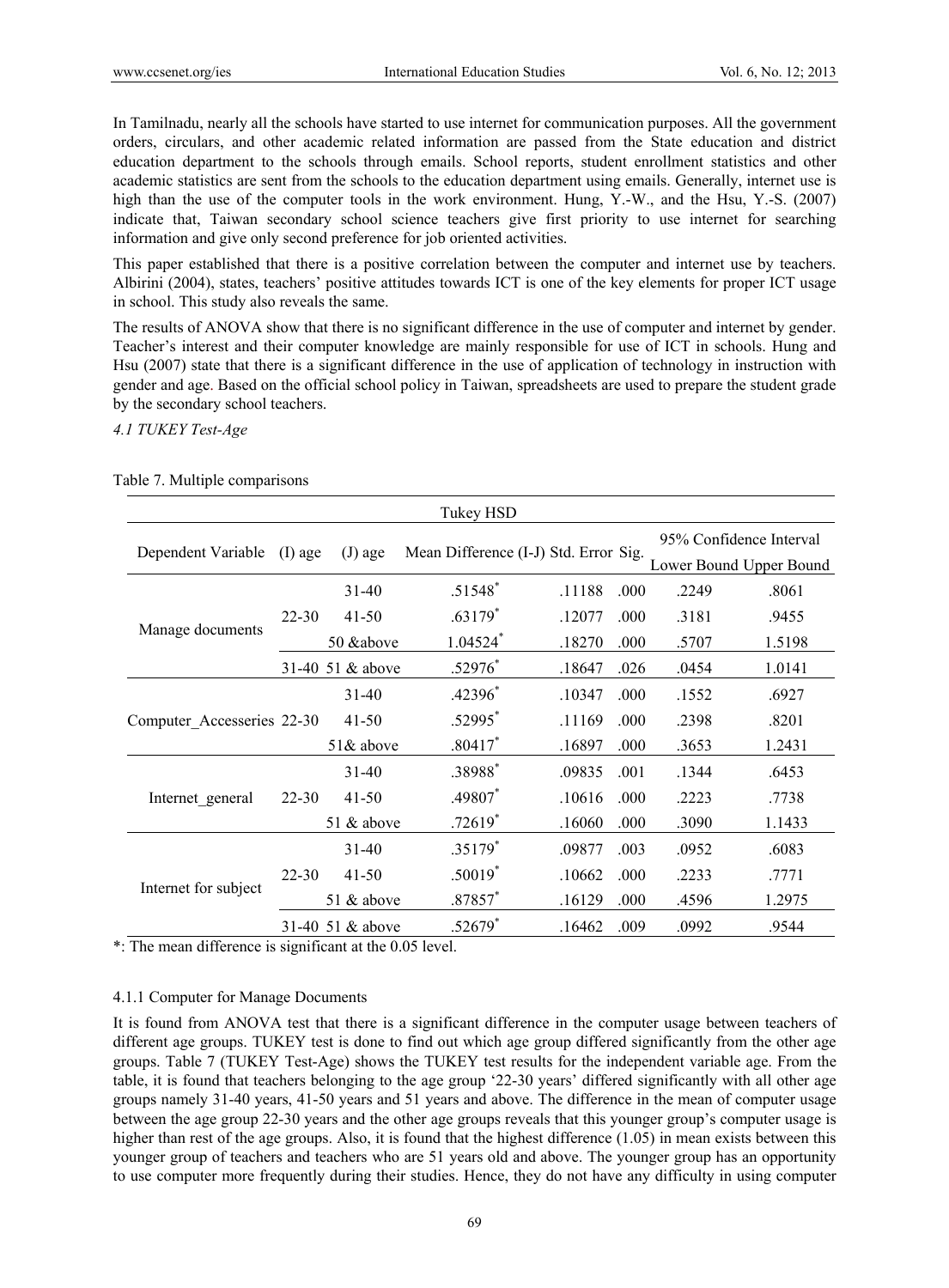In Tamilnadu, nearly all the schools have started to use internet for communication purposes. All the government orders, circulars, and other academic related information are passed from the State education and district education department to the schools through emails. School reports, student enrollment statistics and other academic statistics are sent from the schools to the education department using emails. Generally, internet use is high than the use of the computer tools in the work environment. Hung, Y.-W., and the Hsu, Y.-S. (2007) indicate that, Taiwan secondary school science teachers give first priority to use internet for searching information and give only second preference for job oriented activities.

This paper established that there is a positive correlation between the computer and internet use by teachers. Albirini (2004), states, teachers' positive attitudes towards ICT is one of the key elements for proper ICT usage in school. This study also reveals the same.

The results of ANOVA show that there is no significant difference in the use of computer and internet by gender. Teacher's interest and their computer knowledge are mainly responsible for use of ICT in schools. Hung and Hsu (2007) state that there is a significant difference in the use of application of technology in instruction with gender and age. Based on the official school policy in Taiwan, spreadsheets are used to prepare the student grade by the secondary school teachers.

#### *4.1 TUKEY Test-Age*

| Tukey HSD                  |           |                    |                                       |        |      |                                                    |        |
|----------------------------|-----------|--------------------|---------------------------------------|--------|------|----------------------------------------------------|--------|
| Dependent Variable         | $(I)$ age | $(J)$ age          | Mean Difference (I-J) Std. Error Sig. |        |      | 95% Confidence Interval<br>Lower Bound Upper Bound |        |
|                            |           | $31-40$            | $.51548$ <sup>*</sup>                 | .11188 | .000 | .2249                                              | .8061  |
|                            | $22 - 30$ | $41 - 50$          | $.63179*$                             | .12077 | .000 | .3181                                              | .9455  |
| Manage documents           |           | 50 & above         | $1.04524$ <sup>*</sup>                | .18270 | .000 | .5707                                              | 1.5198 |
|                            |           | 31-40 51 $&$ above | .52976*                               | .18647 | .026 | .0454                                              | 1.0141 |
| Computer Accesseries 22-30 |           | $31-40$            | $.42396*$                             | .10347 | .000 | .1552                                              | .6927  |
|                            |           | $41-50$            | .52995*                               | .11169 | .000 | .2398                                              | .8201  |
|                            |           | $51\&$ above       | $.80417*$                             | .16897 | .000 | .3653                                              | 1.2431 |
|                            |           | $31-40$            | .38988*                               | .09835 | .001 | .1344                                              | .6453  |
| Internet general           | 22-30     | 41-50              | .49807*                               | .10616 | .000 | .2223                                              | .7738  |
|                            |           | 51 $&$ above       | $.72619*$                             | .16060 | .000 | .3090                                              | 1.1433 |
|                            |           | $31-40$            | $.35179*$                             | .09877 | .003 | .0952                                              | .6083  |
|                            | $22 - 30$ | $41-50$            | $.50019*$                             | .10662 | .000 | .2233                                              | .7771  |
| Internet for subject       |           | 51 $&$ above       | $.87857*$                             | .16129 | .000 | .4596                                              | 1.2975 |
|                            |           | 31-40 51 & above   | $.52679*$                             | .16462 | .009 | .0992                                              | .9544  |

Table 7. Multiple comparisons

\*: The mean difference is significant at the 0.05 level.

# 4.1.1 Computer for Manage Documents

It is found from ANOVA test that there is a significant difference in the computer usage between teachers of different age groups. TUKEY test is done to find out which age group differed significantly from the other age groups. Table 7 (TUKEY Test-Age) shows the TUKEY test results for the independent variable age. From the table, it is found that teachers belonging to the age group '22-30 years' differed significantly with all other age groups namely 31-40 years, 41-50 years and 51 years and above. The difference in the mean of computer usage between the age group 22-30 years and the other age groups reveals that this younger group's computer usage is higher than rest of the age groups. Also, it is found that the highest difference (1.05) in mean exists between this younger group of teachers and teachers who are 51 years old and above. The younger group has an opportunity to use computer more frequently during their studies. Hence, they do not have any difficulty in using computer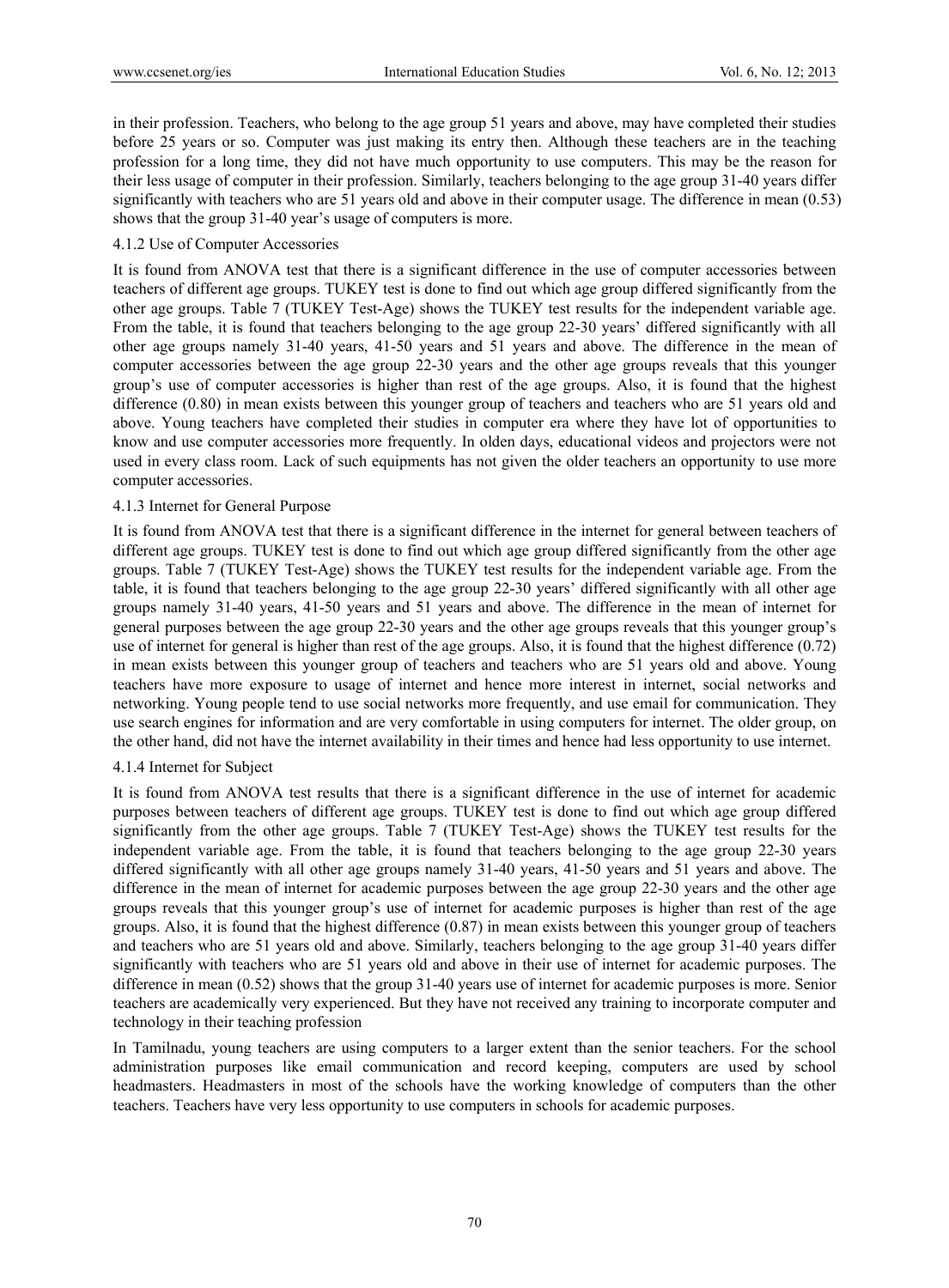in their profession. Teachers, who belong to the age group 51 years and above, may have completed their studies before 25 years or so. Computer was just making its entry then. Although these teachers are in the teaching profession for a long time, they did not have much opportunity to use computers. This may be the reason for their less usage of computer in their profession. Similarly, teachers belonging to the age group 31-40 years differ significantly with teachers who are 51 years old and above in their computer usage. The difference in mean (0.53) shows that the group 31-40 year's usage of computers is more.

#### 4.1.2 Use of Computer Accessories

It is found from ANOVA test that there is a significant difference in the use of computer accessories between teachers of different age groups. TUKEY test is done to find out which age group differed significantly from the other age groups. Table 7 (TUKEY Test-Age) shows the TUKEY test results for the independent variable age. From the table, it is found that teachers belonging to the age group 22-30 years' differed significantly with all other age groups namely 31-40 years, 41-50 years and 51 years and above. The difference in the mean of computer accessories between the age group 22-30 years and the other age groups reveals that this younger group's use of computer accessories is higher than rest of the age groups. Also, it is found that the highest difference (0.80) in mean exists between this younger group of teachers and teachers who are 51 years old and above. Young teachers have completed their studies in computer era where they have lot of opportunities to know and use computer accessories more frequently. In olden days, educational videos and projectors were not used in every class room. Lack of such equipments has not given the older teachers an opportunity to use more computer accessories.

### 4.1.3 Internet for General Purpose

It is found from ANOVA test that there is a significant difference in the internet for general between teachers of different age groups. TUKEY test is done to find out which age group differed significantly from the other age groups. Table 7 (TUKEY Test-Age) shows the TUKEY test results for the independent variable age. From the table, it is found that teachers belonging to the age group 22-30 years' differed significantly with all other age groups namely 31-40 years, 41-50 years and 51 years and above. The difference in the mean of internet for general purposes between the age group 22-30 years and the other age groups reveals that this younger group's use of internet for general is higher than rest of the age groups. Also, it is found that the highest difference (0.72) in mean exists between this younger group of teachers and teachers who are 51 years old and above. Young teachers have more exposure to usage of internet and hence more interest in internet, social networks and networking. Young people tend to use social networks more frequently, and use email for communication. They use search engines for information and are very comfortable in using computers for internet. The older group, on the other hand, did not have the internet availability in their times and hence had less opportunity to use internet.

#### 4.1.4 Internet for Subject

It is found from ANOVA test results that there is a significant difference in the use of internet for academic purposes between teachers of different age groups. TUKEY test is done to find out which age group differed significantly from the other age groups. Table 7 (TUKEY Test-Age) shows the TUKEY test results for the independent variable age. From the table, it is found that teachers belonging to the age group 22-30 years differed significantly with all other age groups namely 31-40 years, 41-50 years and 51 years and above. The difference in the mean of internet for academic purposes between the age group 22-30 years and the other age groups reveals that this younger group's use of internet for academic purposes is higher than rest of the age groups. Also, it is found that the highest difference (0.87) in mean exists between this younger group of teachers and teachers who are 51 years old and above. Similarly, teachers belonging to the age group 31-40 years differ significantly with teachers who are 51 years old and above in their use of internet for academic purposes. The difference in mean (0.52) shows that the group 31-40 years use of internet for academic purposes is more. Senior teachers are academically very experienced. But they have not received any training to incorporate computer and technology in their teaching profession

In Tamilnadu, young teachers are using computers to a larger extent than the senior teachers. For the school administration purposes like email communication and record keeping, computers are used by school headmasters. Headmasters in most of the schools have the working knowledge of computers than the other teachers. Teachers have very less opportunity to use computers in schools for academic purposes.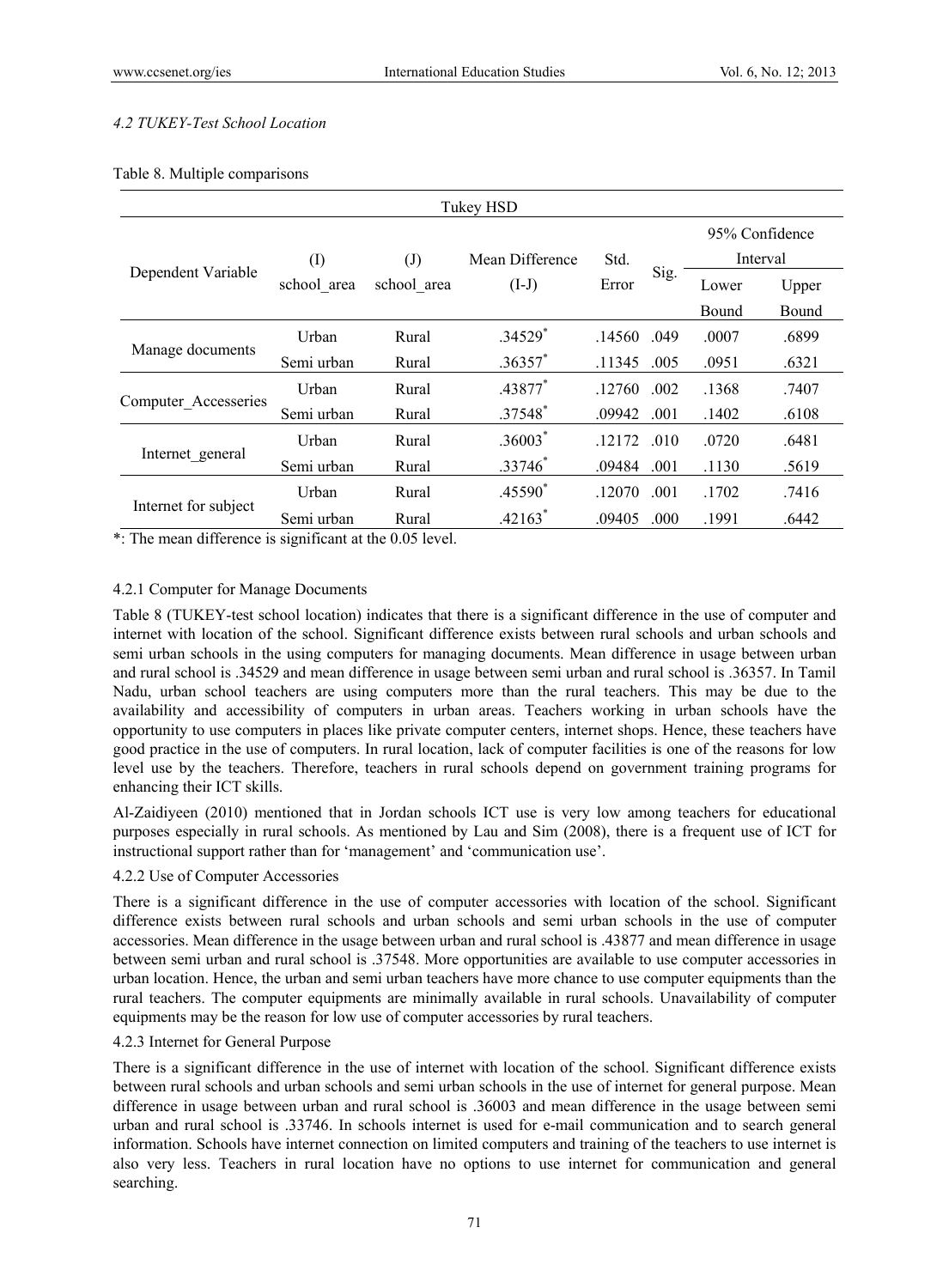# *4.2 TUKEY-Test School Location*

|  | Table 8. Multiple comparisons |
|--|-------------------------------|

| Tukey HSD            |             |                            |                 |        |      |                |          |  |
|----------------------|-------------|----------------------------|-----------------|--------|------|----------------|----------|--|
|                      |             |                            |                 |        |      | 95% Confidence |          |  |
|                      | $\rm (I)$   | $\left( \mathrm{J}\right)$ | Mean Difference | Std.   |      |                | Interval |  |
| Dependent Variable   | school area | school area                | $(I-J)$         | Error  | Sig. | Lower          | Upper    |  |
|                      |             |                            |                 |        |      | Bound          | Bound    |  |
| Manage documents     | Urban       | Rural                      | $.34529*$       | .14560 | .049 | .0007          | .6899    |  |
|                      | Semi urban  | Rural                      | $.36357$ *      | .11345 | .005 | .0951          | .6321    |  |
|                      | Urban       | Rural                      | .43877*         | .12760 | .002 | .1368          | .7407    |  |
| Computer Accesseries | Semi urban  | Rural                      | .37548*         | .09942 | .001 | .1402          | .6108    |  |
|                      | Urban       | Rural                      | $.36003*$       | 12172  | .010 | .0720          | .6481    |  |
| Internet_general     | Semi urban  | Rural                      | $.33746*$       | .09484 | .001 | .1130          | .5619    |  |
| Internet for subject | Urban       | Rural                      | .45590*         | .12070 | .001 | .1702          | .7416    |  |
|                      | Semi urban  | Rural                      | $.42163*$       | .09405 | .000 | .1991          | .6442    |  |

\*: The mean difference is significant at the 0.05 level.

### 4.2.1 Computer for Manage Documents

Table 8 (TUKEY-test school location) indicates that there is a significant difference in the use of computer and internet with location of the school. Significant difference exists between rural schools and urban schools and semi urban schools in the using computers for managing documents. Mean difference in usage between urban and rural school is .34529 and mean difference in usage between semi urban and rural school is .36357. In Tamil Nadu, urban school teachers are using computers more than the rural teachers. This may be due to the availability and accessibility of computers in urban areas. Teachers working in urban schools have the opportunity to use computers in places like private computer centers, internet shops. Hence, these teachers have good practice in the use of computers. In rural location, lack of computer facilities is one of the reasons for low level use by the teachers. Therefore, teachers in rural schools depend on government training programs for enhancing their ICT skills.

Al-Zaidiyeen (2010) mentioned that in Jordan schools ICT use is very low among teachers for educational purposes especially in rural schools. As mentioned by Lau and Sim (2008), there is a frequent use of ICT for instructional support rather than for 'management' and 'communication use'.

#### 4.2.2 Use of Computer Accessories

There is a significant difference in the use of computer accessories with location of the school. Significant difference exists between rural schools and urban schools and semi urban schools in the use of computer accessories. Mean difference in the usage between urban and rural school is .43877 and mean difference in usage between semi urban and rural school is .37548. More opportunities are available to use computer accessories in urban location. Hence, the urban and semi urban teachers have more chance to use computer equipments than the rural teachers. The computer equipments are minimally available in rural schools. Unavailability of computer equipments may be the reason for low use of computer accessories by rural teachers.

#### 4.2.3 Internet for General Purpose

There is a significant difference in the use of internet with location of the school. Significant difference exists between rural schools and urban schools and semi urban schools in the use of internet for general purpose. Mean difference in usage between urban and rural school is .36003 and mean difference in the usage between semi urban and rural school is .33746. In schools internet is used for e-mail communication and to search general information. Schools have internet connection on limited computers and training of the teachers to use internet is also very less. Teachers in rural location have no options to use internet for communication and general searching.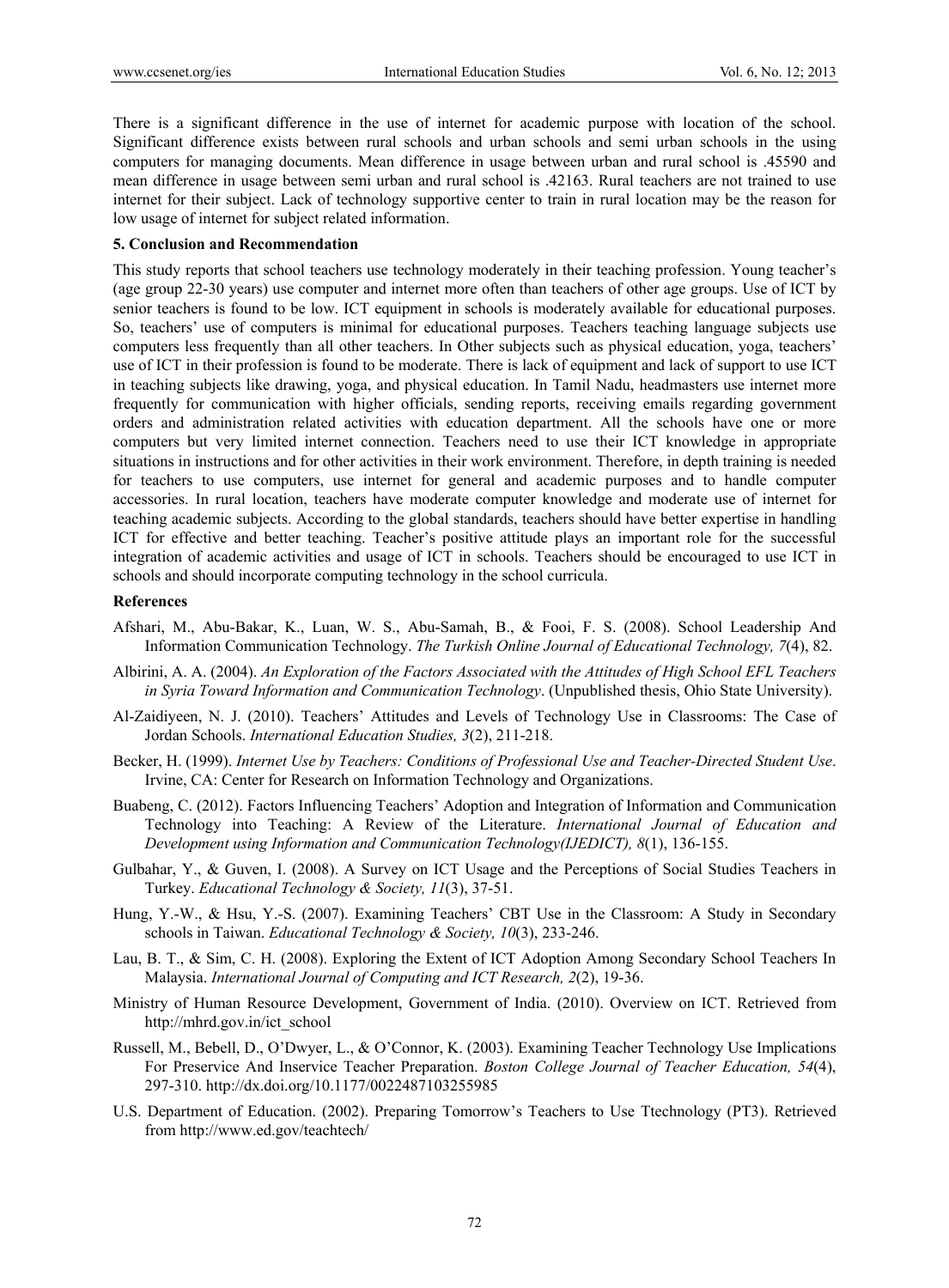There is a significant difference in the use of internet for academic purpose with location of the school. Significant difference exists between rural schools and urban schools and semi urban schools in the using computers for managing documents. Mean difference in usage between urban and rural school is .45590 and mean difference in usage between semi urban and rural school is .42163. Rural teachers are not trained to use internet for their subject. Lack of technology supportive center to train in rural location may be the reason for low usage of internet for subject related information.

#### **5. Conclusion and Recommendation**

This study reports that school teachers use technology moderately in their teaching profession. Young teacher's (age group 22-30 years) use computer and internet more often than teachers of other age groups. Use of ICT by senior teachers is found to be low. ICT equipment in schools is moderately available for educational purposes. So, teachers' use of computers is minimal for educational purposes. Teachers teaching language subjects use computers less frequently than all other teachers. In Other subjects such as physical education, yoga, teachers' use of ICT in their profession is found to be moderate. There is lack of equipment and lack of support to use ICT in teaching subjects like drawing, yoga, and physical education. In Tamil Nadu, headmasters use internet more frequently for communication with higher officials, sending reports, receiving emails regarding government orders and administration related activities with education department. All the schools have one or more computers but very limited internet connection. Teachers need to use their ICT knowledge in appropriate situations in instructions and for other activities in their work environment. Therefore, in depth training is needed for teachers to use computers, use internet for general and academic purposes and to handle computer accessories. In rural location, teachers have moderate computer knowledge and moderate use of internet for teaching academic subjects. According to the global standards, teachers should have better expertise in handling ICT for effective and better teaching. Teacher's positive attitude plays an important role for the successful integration of academic activities and usage of ICT in schools. Teachers should be encouraged to use ICT in schools and should incorporate computing technology in the school curricula.

#### **References**

- Afshari, M., Abu-Bakar, K., Luan, W. S., Abu-Samah, B., & Fooi, F. S. (2008). School Leadership And Information Communication Technology. *The Turkish Online Journal of Educational Technology, 7*(4), 82.
- Albirini, A. A. (2004). *An Exploration of the Factors Associated with the Attitudes of High School EFL Teachers in Syria Toward Information and Communication Technology*. (Unpublished thesis, Ohio State University).
- Al-Zaidiyeen, N. J. (2010). Teachers' Attitudes and Levels of Technology Use in Classrooms: The Case of Jordan Schools. *International Education Studies, 3*(2), 211-218.
- Becker, H. (1999). *Internet Use by Teachers: Conditions of Professional Use and Teacher-Directed Student Use*. Irvine, CA: Center for Research on Information Technology and Organizations.
- Buabeng, C. (2012). Factors Influencing Teachers' Adoption and Integration of Information and Communication Technology into Teaching: A Review of the Literature. *International Journal of Education and Development using Information and Communication Technology(IJEDICT), 8*(1), 136-155.
- Gulbahar, Y., & Guven, I. (2008). A Survey on ICT Usage and the Perceptions of Social Studies Teachers in Turkey. *Educational Technology & Society, 11*(3), 37-51.
- Hung, Y.-W., & Hsu, Y.-S. (2007). Examining Teachers' CBT Use in the Classroom: A Study in Secondary schools in Taiwan. *Educational Technology & Society, 10*(3), 233-246.
- Lau, B. T., & Sim, C. H. (2008). Exploring the Extent of ICT Adoption Among Secondary School Teachers In Malaysia. *International Journal of Computing and ICT Research, 2*(2), 19-36.
- Ministry of Human Resource Development, Government of India. (2010). Overview on ICT. Retrieved from http://mhrd.gov.in/ict\_school
- Russell, M., Bebell, D., O'Dwyer, L., & O'Connor, K. (2003). Examining Teacher Technology Use Implications For Preservice And Inservice Teacher Preparation. *Boston College Journal of Teacher Education, 54*(4), 297-310. http://dx.doi.org/10.1177/0022487103255985
- U.S. Department of Education. (2002). Preparing Tomorrow's Teachers to Use Ttechnology (PT3). Retrieved from http://www.ed.gov/teachtech/